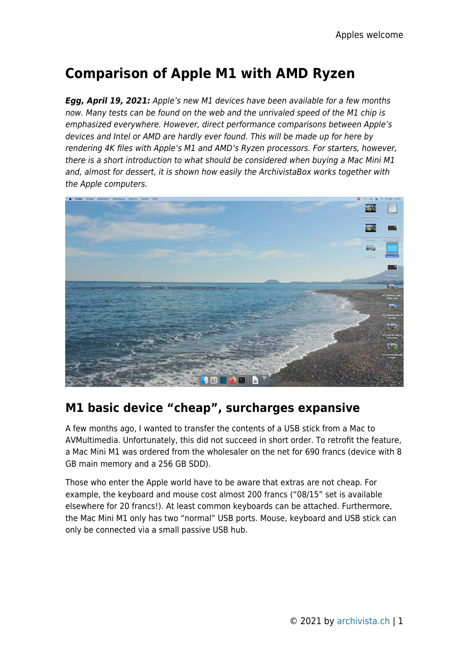# **Comparison of Apple M1 with AMD Ryzen**

*Egg, April 19, 2021:* Apple's new M1 devices have been available for a few months now. Many tests can be found on the web and the unrivaled speed of the M1 chip is emphasized everywhere. However, direct performance comparisons between Apple's devices and Intel or AMD are hardly ever found. This will be made up for here by rendering 4K files with Apple's M1 and AMD's Ryzen processors. For starters, however, there is a short introduction to what should be considered when buying a Mac Mini M1 and, almost for dessert, it is shown how easily the ArchivistaBox works together with the Apple computers.



# **M1 basic device "cheap", surcharges expansive**

A few months ago, I wanted to transfer the contents of a USB stick from a Mac to AVMultimedia. Unfortunately, this did not succeed in short order. To retrofit the feature, a Mac Mini M1 was ordered from the wholesaler on the net for 690 francs (device with 8 GB main memory and a 256 GB SDD).

Those who enter the Apple world have to be aware that extras are not cheap. For example, the keyboard and mouse cost almost 200 francs ("08/15" set is available elsewhere for 20 francs!). At least common keyboards can be attached. Furthermore, the Mac Mini M1 only has two "normal" USB ports. Mouse, keyboard and USB stick can only be connected via a small passive USB hub.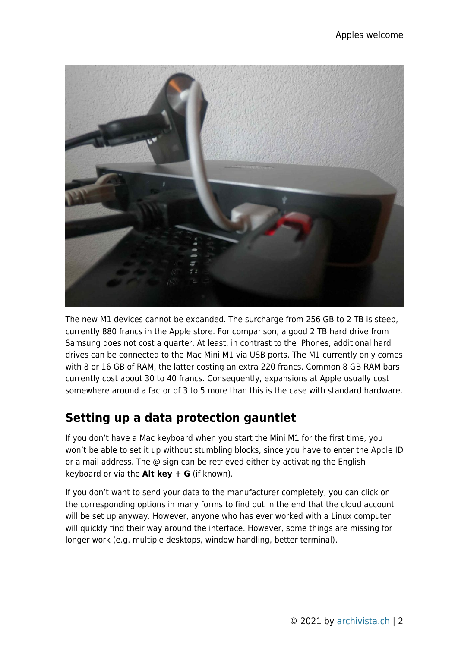

The new M1 devices cannot be expanded. The surcharge from 256 GB to 2 TB is steep, currently 880 francs in the Apple store. For comparison, a good 2 TB hard drive from Samsung does not cost a quarter. At least, in contrast to the iPhones, additional hard drives can be connected to the Mac Mini M1 via USB ports. The M1 currently only comes with 8 or 16 GB of RAM, the latter costing an extra 220 francs. Common 8 GB RAM bars currently cost about 30 to 40 francs. Consequently, expansions at Apple usually cost somewhere around a factor of 3 to 5 more than this is the case with standard hardware.

# **Setting up a data protection gauntlet**

If you don't have a Mac keyboard when you start the Mini M1 for the first time, you won't be able to set it up without stumbling blocks, since you have to enter the Apple ID or a mail address. The @ sign can be retrieved either by activating the English keyboard or via the **Alt key + G** (if known).

If you don't want to send your data to the manufacturer completely, you can click on the corresponding options in many forms to find out in the end that the cloud account will be set up anyway. However, anyone who has ever worked with a Linux computer will quickly find their way around the interface. However, some things are missing for longer work (e.g. multiple desktops, window handling, better terminal).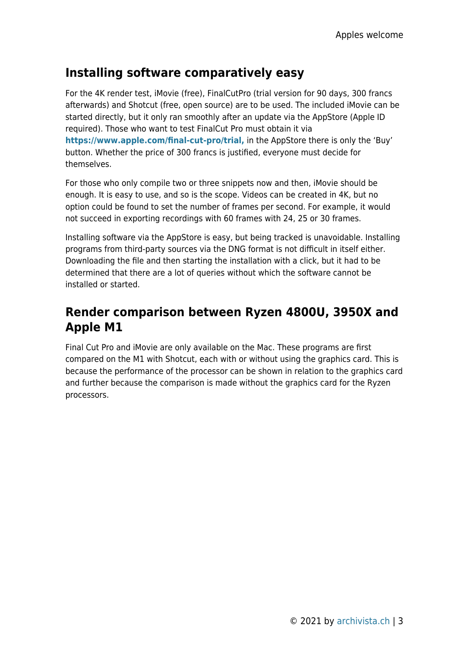## **Installing software comparatively easy**

For the 4K render test, iMovie (free), FinalCutPro (trial version for 90 days, 300 francs afterwards) and Shotcut (free, open source) are to be used. The included iMovie can be started directly, but it only ran smoothly after an update via the AppStore (Apple ID required). Those who want to test FinalCut Pro must obtain it via **[https://www.apple.com/final-cut-pro/trial,](https://www.apple.com/final-cut-pro/trial)** in the AppStore there is only the 'Buy' button. Whether the price of 300 francs is justified, everyone must decide for themselves.

For those who only compile two or three snippets now and then, iMovie should be enough. It is easy to use, and so is the scope. Videos can be created in 4K, but no option could be found to set the number of frames per second. For example, it would not succeed in exporting recordings with 60 frames with 24, 25 or 30 frames.

Installing software via the AppStore is easy, but being tracked is unavoidable. Installing programs from third-party sources via the DNG format is not difficult in itself either. Downloading the file and then starting the installation with a click, but it had to be determined that there are a lot of queries without which the software cannot be installed or started.

## **Render comparison between Ryzen 4800U, 3950X and Apple M1**

Final Cut Pro and iMovie are only available on the Mac. These programs are first compared on the M1 with Shotcut, each with or without using the graphics card. This is because the performance of the processor can be shown in relation to the graphics card and further because the comparison is made without the graphics card for the Ryzen processors.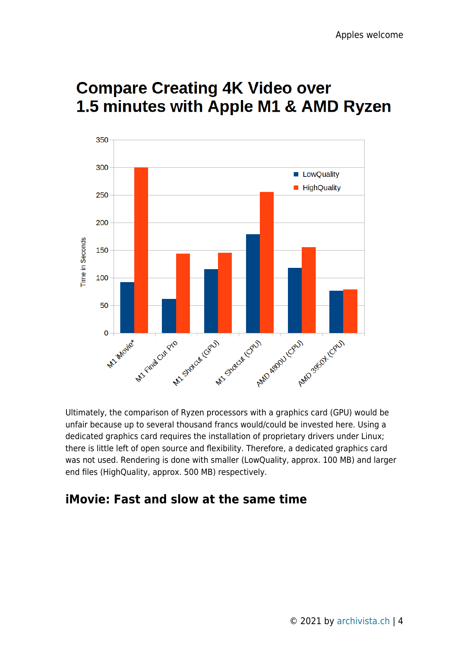# **Compare Creating 4K Video over** 1.5 minutes with Apple M1 & AMD Ryzen



Ultimately, the comparison of Ryzen processors with a graphics card (GPU) would be unfair because up to several thousand francs would/could be invested here. Using a dedicated graphics card requires the installation of proprietary drivers under Linux; there is little left of open source and flexibility. Therefore, a dedicated graphics card was not used. Rendering is done with smaller (LowQuality, approx. 100 MB) and larger end files (HighQuality, approx. 500 MB) respectively.

## **iMovie: Fast and slow at the same time**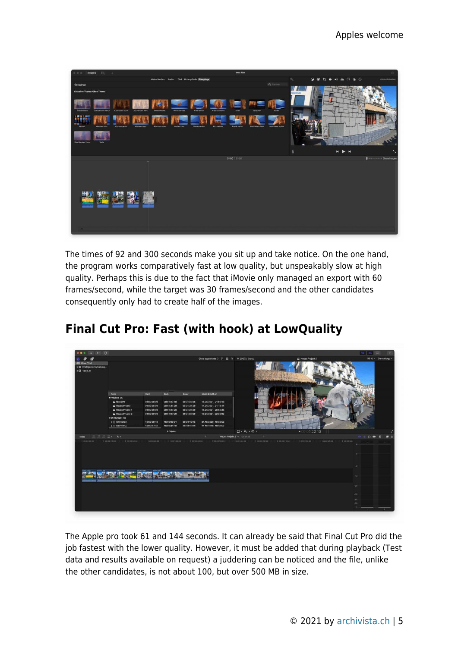

The times of 92 and 300 seconds make you sit up and take notice. On the one hand, the program works comparatively fast at low quality, but unspeakably slow at high quality. Perhaps this is due to the fact that iMovie only managed an export with 60 frames/second, while the target was 30 frames/second and the other candidates consequently only had to create half of the images.

|                                                                                      |                                            |                      |              |               |                                            |                                                                     | 88                       |
|--------------------------------------------------------------------------------------|--------------------------------------------|----------------------|--------------|---------------|--------------------------------------------|---------------------------------------------------------------------|--------------------------|
| 輩<br>æ                                                                               |                                            |                      |              |               | Ohne abgelehnte C B El Q 4K 29.97p, Stereo | Neues Projekt 2                                                     | 38 % v Darstellung v     |
| <b>v 88 Ohne Titel</b><br>> in Intelligente Sammlung<br>$\triangleright$ (3 14.04.21 |                                            |                      |              |               |                                            |                                                                     |                          |
|                                                                                      | Name                                       | <b>Start</b>         | Ende         | Dauer         | Inhalt: Erstelt am                         |                                                                     |                          |
|                                                                                      | *Projekte (4)                              |                      |              |               |                                            |                                                                     |                          |
|                                                                                      | tasnacht                                   | 00:00:00:00          | 00:01:27:58  | 00:01:27:58   | 14.04.2021, 21:02:16                       |                                                                     |                          |
|                                                                                      | Noues Projekt                              | 00:00:00:00          | 00:01:27:29  | 00:01:27:29   | 14.04.2021, 21:15:14                       |                                                                     |                          |
|                                                                                      | Neues Projekt 1                            | 00:00:00:00          | 00:01:27:20  | 00:01:27:20   | 15.04.2021, 20:55:35                       |                                                                     |                          |
|                                                                                      | Si Neues Projekt 2                         | 00:00:00:00          | 00:01:27:29  | 00:01:27:29   | 16.04.2021, 02:26:02                       |                                                                     |                          |
|                                                                                      | ₩21.10.2020 (6)                            |                      |              |               |                                            |                                                                     |                          |
|                                                                                      | $\blacktriangleright$ $\boxminus$ 6X012153 | 16:08:58:49          | 16:09:09:01  | 00:00:10:12   | 21.10.2020, 10:38:58                       |                                                                     |                          |
|                                                                                      | » El contrassa                             | 16:09:27:31          | 16:09:41:00  | 00:00:13:20   | 21 10 2020 10:38:57                        |                                                                     |                          |
|                                                                                      |                                            |                      | 9 Objekte    |               |                                            | $\Box - \Lambda - \Theta -$<br>1:22:13<br>$\blacktriangleright$ 000 |                          |
| 三品品品× ト<br><b>Index</b>                                                              |                                            |                      |              |               |                                            | Neues Projekt 2 v 01/27/29                                          | $\Omega =$<br>a<br>¢     |
| I aniotriobise                                                                       | I contributed in the contractor            | 1111 00003830        | I openine of | 1 esterios pa | I form door in the form about the          | I described  <br>I obsession<br>100027000                           | I conner<br>Timing asser |
|                                                                                      |                                            |                      |              |               |                                            |                                                                     | $^{\circ}$               |
|                                                                                      |                                            |                      |              |               |                                            |                                                                     | $\cdot$                  |
| GROSSISA                                                                             | 00010154                                   | GR032166<br>GEDS2167 |              |               |                                            |                                                                     |                          |
|                                                                                      |                                            |                      |              |               |                                            |                                                                     | $-12.$                   |
|                                                                                      |                                            |                      |              |               |                                            |                                                                     | $-20 -$                  |
| н                                                                                    |                                            |                      |              |               |                                            |                                                                     |                          |
|                                                                                      |                                            |                      |              |               |                                            |                                                                     | $-30$                    |
| <b>SERVICES</b>                                                                      |                                            |                      |              |               |                                            |                                                                     | 40 <sup>°</sup>          |
|                                                                                      |                                            |                      |              |               |                                            |                                                                     | -33                      |

# **Final Cut Pro: Fast (with hook) at LowQuality**

The Apple pro took 61 and 144 seconds. It can already be said that Final Cut Pro did the job fastest with the lower quality. However, it must be added that during playback (Test data and results available on request) a juddering can be noticed and the file, unlike the other candidates, is not about 100, but over 500 MB in size.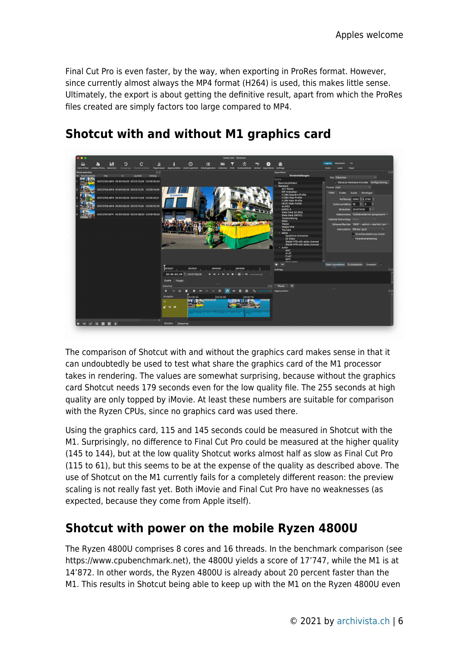Final Cut Pro is even faster, by the way, when exporting in ProRes format. However, since currently almost always the MP4 format (H264) is used, this makes little sense. Ultimately, the export is about getting the definitive result, apart from which the ProRes files created are simply factors too large compared to MP4.



# **Shotcut with and without M1 graphics card**

The comparison of Shotcut with and without the graphics card makes sense in that it can undoubtedly be used to test what share the graphics card of the M1 processor takes in rendering. The values are somewhat surprising, because without the graphics card Shotcut needs 179 seconds even for the low quality file. The 255 seconds at high quality are only topped by iMovie. At least these numbers are suitable for comparison with the Ryzen CPUs, since no graphics card was used there.

Using the graphics card, 115 and 145 seconds could be measured in Shotcut with the M1. Surprisingly, no difference to Final Cut Pro could be measured at the higher quality (145 to 144), but at the low quality Shotcut works almost half as slow as Final Cut Pro (115 to 61), but this seems to be at the expense of the quality as described above. The use of Shotcut on the M1 currently fails for a completely different reason: the preview scaling is not really fast yet. Both iMovie and Final Cut Pro have no weaknesses (as expected, because they come from Apple itself).

## **Shotcut with power on the mobile Ryzen 4800U**

The Ryzen 4800U comprises 8 cores and 16 threads. In the benchmark comparison (see https://www.cpubenchmark.net), the 4800U yields a score of 17'747, while the M1 is at 14'872. In other words, the Ryzen 4800U is already about 20 percent faster than the M1. This results in Shotcut being able to keep up with the M1 on the Ryzen 4800U even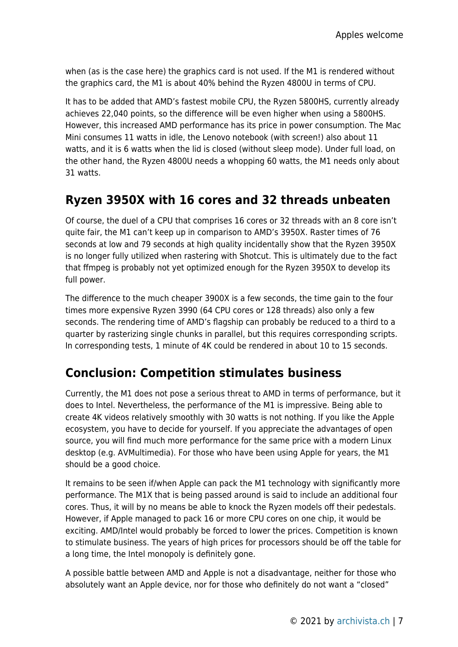when (as is the case here) the graphics card is not used. If the M1 is rendered without the graphics card, the M1 is about 40% behind the Ryzen 4800U in terms of CPU.

It has to be added that AMD's fastest mobile CPU, the Ryzen 5800HS, currently already achieves 22,040 points, so the difference will be even higher when using a 5800HS. However, this increased AMD performance has its price in power consumption. The Mac Mini consumes 11 watts in idle, the Lenovo notebook (with screen!) also about 11 watts, and it is 6 watts when the lid is closed (without sleep mode). Under full load, on the other hand, the Ryzen 4800U needs a whopping 60 watts, the M1 needs only about 31 watts.

#### **Ryzen 3950X with 16 cores and 32 threads unbeaten**

Of course, the duel of a CPU that comprises 16 cores or 32 threads with an 8 core isn't quite fair, the M1 can't keep up in comparison to AMD's 3950X. Raster times of 76 seconds at low and 79 seconds at high quality incidentally show that the Ryzen 3950X is no longer fully utilized when rastering with Shotcut. This is ultimately due to the fact that ffmpeg is probably not yet optimized enough for the Ryzen 3950X to develop its full power.

The difference to the much cheaper 3900X is a few seconds, the time gain to the four times more expensive Ryzen 3990 (64 CPU cores or 128 threads) also only a few seconds. The rendering time of AMD's flagship can probably be reduced to a third to a quarter by rasterizing single chunks in parallel, but this requires corresponding scripts. In corresponding tests, 1 minute of 4K could be rendered in about 10 to 15 seconds.

## **Conclusion: Competition stimulates business**

Currently, the M1 does not pose a serious threat to AMD in terms of performance, but it does to Intel. Nevertheless, the performance of the M1 is impressive. Being able to create 4K videos relatively smoothly with 30 watts is not nothing. If you like the Apple ecosystem, you have to decide for yourself. If you appreciate the advantages of open source, you will find much more performance for the same price with a modern Linux desktop (e.g. AVMultimedia). For those who have been using Apple for years, the M1 should be a good choice.

It remains to be seen if/when Apple can pack the M1 technology with significantly more performance. The M1X that is being passed around is said to include an additional four cores. Thus, it will by no means be able to knock the Ryzen models off their pedestals. However, if Apple managed to pack 16 or more CPU cores on one chip, it would be exciting. AMD/Intel would probably be forced to lower the prices. Competition is known to stimulate business. The years of high prices for processors should be off the table for a long time, the Intel monopoly is definitely gone.

A possible battle between AMD and Apple is not a disadvantage, neither for those who absolutely want an Apple device, nor for those who definitely do not want a "closed"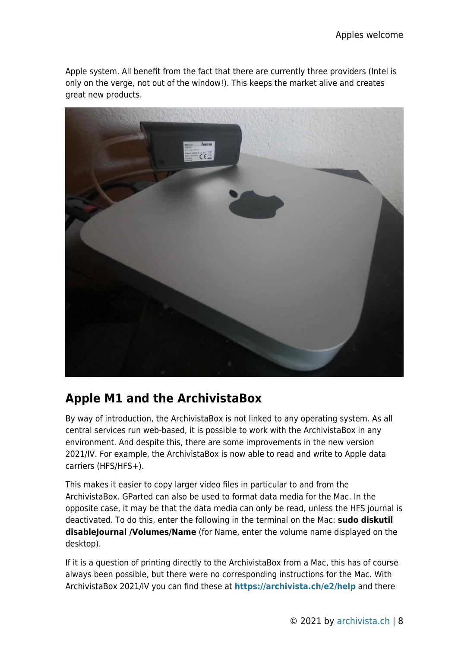Apple system. All benefit from the fact that there are currently three providers (Intel is only on the verge, not out of the window!). This keeps the market alive and creates great new products.



## **Apple M1 and the ArchivistaBox**

By way of introduction, the ArchivistaBox is not linked to any operating system. As all central services run web-based, it is possible to work with the ArchivistaBox in any environment. And despite this, there are some improvements in the new version 2021/IV. For example, the ArchivistaBox is now able to read and write to Apple data carriers (HFS/HFS+).

This makes it easier to copy larger video files in particular to and from the ArchivistaBox. GParted can also be used to format data media for the Mac. In the opposite case, it may be that the data media can only be read, unless the HFS journal is deactivated. To do this, enter the following in the terminal on the Mac: **sudo diskutil disableJournal /Volumes/Name** (for Name, enter the volume name displayed on the desktop).

If it is a question of printing directly to the ArchivistaBox from a Mac, this has of course always been possible, but there were no corresponding instructions for the Mac. With ArchivistaBox 2021/IV you can find these at **<https://archivista.ch/e2/help>** and there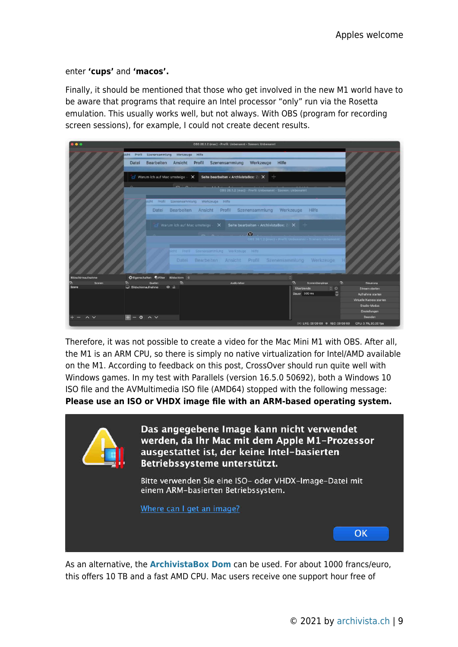#### enter **'cups'** and **'macos'.**

Finally, it should be mentioned that those who get involved in the new M1 world have to be aware that programs that require an Intel processor "only" run via the Rosetta emulation. This usually works well, but not always. With OBS (program for recording screen sessions), for example, I could not create decent results.



Therefore, it was not possible to create a video for the Mac Mini M1 with OBS. After all, the M1 is an ARM CPU, so there is simply no native virtualization for Intel/AMD available on the M1. According to feedback on this post, CrossOver should run quite well with Windows games. In my test with Parallels (version 16.5.0 50692), both a Windows 10 ISO file and the AVMultimedia ISO file (AMD64) stopped with the following message: **Please use an ISO or VHDX image file with an ARM-based operating system.**



As an alternative, the **[ArchivistaBox Dom](http://shop.archivista.ch/oscommunity/catalog/advanced_search_result.php?keywords=dom&x=0&y=0)** can be used. For about 1000 francs/euro, this offers 10 TB and a fast AMD CPU. Mac users receive one support hour free of